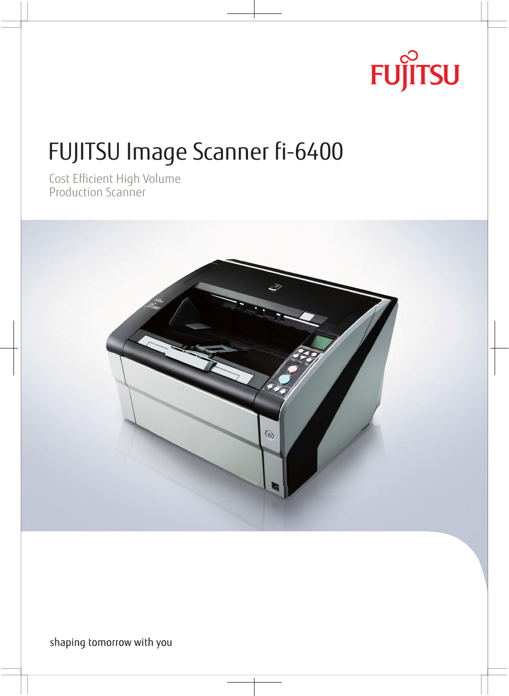# **FUJITSU**

Fundation of the Scanner of Scanner fields of the Scanner fields of the Scanner of the Scanner of the Scanner of the Scanner of the Scanner of the Scanner of the Scanner of the Scanner of the Scanner of the Scanner of the Production Scanner



shaping tomorrow with you